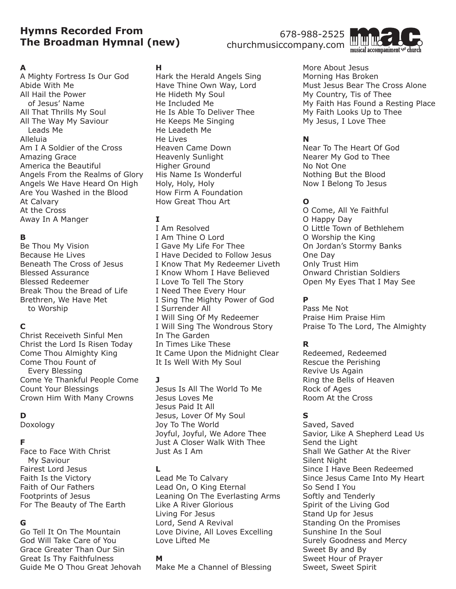# **Hymns Recorded From The Broadman Hymnal (new)**

## 678-988-2525 churchmusiccompany.com



### **A**

A Mighty Fortress Is Our God Abide With Me All Hail the Power of Jesus' Name All That Thrills My Soul All The Way My Saviour Leads Me Alleluia Am I A Soldier of the Cross Amazing Grace America the Beautiful Angels From the Realms of Glory Angels We Have Heard On High Are You Washed in the Blood At Calvary At the Cross Away In A Manger

## **B**

Be Thou My Vision Because He Lives Beneath The Cross of Jesus Blessed Assurance Blessed Redeemer Break Thou the Bread of Life Brethren, We Have Met to Worship

# **C**

Christ Receiveth Sinful Men Christ the Lord Is Risen Today Come Thou Almighty King Come Thou Fount of Every Blessing Come Ye Thankful People Come Count Your Blessings Crown Him With Many Crowns

## **D**

Doxology

### **F**

Face to Face With Christ My Saviour Fairest Lord Jesus Faith Is the Victory Faith of Our Fathers Footprints of Jesus For The Beauty of The Earth

### **G**

Go Tell It On The Mountain God Will Take Care of You Grace Greater Than Our Sin Great Is Thy Faithfulness Guide Me O Thou Great Jehovah

### **H**

Hark the Herald Angels Sing Have Thine Own Way, Lord He Hideth My Soul He Included Me He Is Able To Deliver Thee He Keeps Me Singing He Leadeth Me He Lives Heaven Came Down Heavenly Sunlight Higher Ground His Name Is Wonderful Holy, Holy, Holy How Firm A Foundation How Great Thou Art

## **I**

I Am Resolved I Am Thine O Lord I Gave My Life For Thee I Have Decided to Follow Jesus I Know That My Redeemer Liveth I Know Whom I Have Believed I Love To Tell The Story I Need Thee Every Hour I Sing The Mighty Power of God I Surrender All I Will Sing Of My Redeemer I Will Sing The Wondrous Story In The Garden In Times Like These It Came Upon the Midnight Clear It Is Well With My Soul

### **J**

Jesus Is All The World To Me Jesus Loves Me Jesus Paid It All Jesus, Lover Of My Soul Joy To The World Joyful, Joyful, We Adore Thee Just A Closer Walk With Thee Just As I Am

### **L**

Lead Me To Calvary Lead On, O King Eternal Leaning On The Everlasting Arms Like A River Glorious Living For Jesus Lord, Send A Revival Love Divine, All Loves Excelling Love Lifted Me

#### **M**

Make Me a Channel of Blessing

More About Jesus Morning Has Broken Must Jesus Bear The Cross Alone My Country, Tis of Thee My Faith Has Found a Resting Place My Faith Looks Up to Thee My Jesus, I Love Thee

## **N**

Near To The Heart Of God Nearer My God to Thee No Not One Nothing But the Blood Now I Belong To Jesus

## **O**

O Come, All Ye Faithful O Happy Day O Little Town of Bethlehem O Worship the King On Jordan's Stormy Banks One Day Only Trust Him Onward Christian Soldiers Open My Eyes That I May See

## **P**

Pass Me Not Praise Him Praise Him Praise To The Lord, The Almighty

## **R**

Redeemed, Redeemed Rescue the Perishing Revive Us Again Ring the Bells of Heaven Rock of Ages Room At the Cross

## **S**

Saved, Saved Savior, Like A Shepherd Lead Us Send the Light Shall We Gather At the River Silent Night Since I Have Been Redeemed Since Jesus Came Into My Heart So Send I You Softly and Tenderly Spirit of the Living God Stand Up for Jesus Standing On the Promises Sunshine In the Soul Surely Goodness and Mercy Sweet By and By Sweet Hour of Prayer Sweet, Sweet Spirit